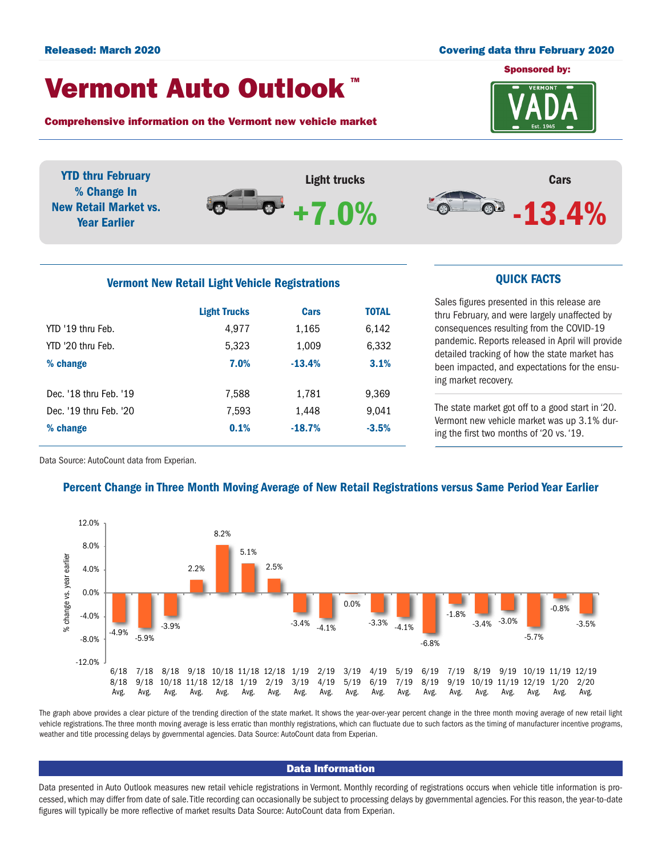### Released: March 2020 Covering data thru February 2020

## Vermont Auto Outlook TM

Comprehensive information on the Vermont new vehicle market



YTD thru February % Change In New Retail Market vs. Year Earlier





# Vermont New Retail Light Vehicle Registrations **CUICK FACTS**

|                        | <b>Light Trucks</b> | <b>Cars</b> | <b>TOTAL</b> |  |
|------------------------|---------------------|-------------|--------------|--|
| YTD '19 thru Feb.      | 4.977               | 1,165       | 6,142        |  |
| YTD '20 thru Feb.      | 5,323               | 1,009       | 6,332        |  |
| % change               | 7.0%                | $-13.4%$    | 3.1%         |  |
|                        |                     |             |              |  |
| Dec. '18 thru Feb. '19 | 7,588               | 1,781       | 9,369        |  |
| Dec. '19 thru Feb. '20 | 7,593               | 1,448       | 9,041        |  |
| % change               | 0.1%                | $-18.7%$    | $-3.5%$      |  |
|                        |                     |             |              |  |

Sales figures presented in this release are thru February, and were largely unaffected by consequences resulting from the COVID-19 pandemic. Reports released in April will provide detailed tracking of how the state market has been impacted, and expectations for the ensuing market recovery.

The state market got off to a good start in '20. Vermont new vehicle market was up 3.1% during the first two months of '20 vs. '19.

Data Source: AutoCount data from Experian.



## Percent Change in Three Month Moving Average of New Retail Registrations versus Same Period Year Earlier

The graph above provides a clear picture of the trending direction of the state market. It shows the year-over-year percent change in the three month moving average of new retail light vehicle registrations. The three month moving average is less erratic than monthly registrations, which can fluctuate due to such factors as the timing of manufacturer incentive programs, weather and title processing delays by governmental agencies. Data Source: AutoCount data from Experian.

### Data Information

Data presented in Auto Outlook measures new retail vehicle registrations in Vermont. Monthly recording of registrations occurs when vehicle title information is processed, which may differ from date of sale. Title recording can occasionally be subject to processing delays by governmental agencies. For this reason, the year-to-date figures will typically be more reflective of market results Data Source: AutoCount data from Experian.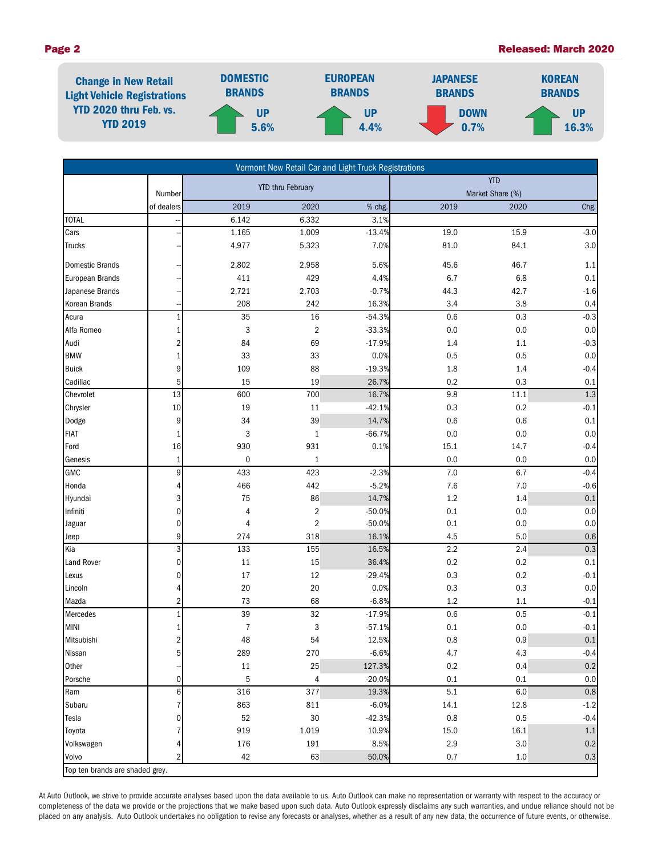### Page 2 Released: March 2020



| Vermont New Retail Car and Light Truck Registrations |                 |                          |                           |          |                  |         |         |  |  |
|------------------------------------------------------|-----------------|--------------------------|---------------------------|----------|------------------|---------|---------|--|--|
|                                                      |                 | <b>YTD thru February</b> |                           |          | <b>YTD</b>       |         |         |  |  |
|                                                      | Number          |                          |                           |          | Market Share (%) |         |         |  |  |
|                                                      | of dealers      | 2019                     | 2020                      | % chg.   | 2019             | 2020    | Chg.    |  |  |
| <b>TOTAL</b>                                         |                 | 6,142                    | 6,332                     | 3.1%     |                  |         |         |  |  |
| Cars                                                 |                 | 1,165                    | 1,009                     | $-13.4%$ | 19.0             | 15.9    | $-3.0$  |  |  |
| <b>Trucks</b>                                        |                 | 4,977                    | 5,323                     | 7.0%     | 81.0             | 84.1    | 3.0     |  |  |
| <b>Domestic Brands</b>                               |                 | 2,802                    | 2,958                     | 5.6%     | 45.6             | 46.7    | 1.1     |  |  |
| European Brands                                      |                 | 411                      | 429                       | 4.4%     | 6.7              | 6.8     | 0.1     |  |  |
| Japanese Brands                                      |                 | 2,721                    | 2,703                     | $-0.7%$  | 44.3             | 42.7    | $-1.6$  |  |  |
| Korean Brands                                        |                 | 208                      | 242                       | 16.3%    | 3.4              | 3.8     | 0.4     |  |  |
| Acura                                                | $\mathbf{1}$    | 35                       | 16                        | $-54.3%$ | 0.6              | 0.3     | $-0.3$  |  |  |
| Alfa Romeo                                           | $1\overline{ }$ | 3                        | $\overline{2}$            | $-33.3%$ | 0.0              | $0.0\,$ | 0.0     |  |  |
| Audi                                                 | $\overline{2}$  | 84                       | 69                        | $-17.9%$ | 1.4              | 1.1     | $-0.3$  |  |  |
| <b>BMW</b>                                           | $\mathbf{1}$    | 33                       | 33                        | 0.0%     | 0.5              | 0.5     | 0.0     |  |  |
| <b>Buick</b>                                         | 9               | 109                      | 88                        | $-19.3%$ | 1.8              | 1.4     | $-0.4$  |  |  |
| Cadillac                                             | $5\phantom{.}$  | 15                       | 19                        | 26.7%    | 0.2              | 0.3     | 0.1     |  |  |
| Chevrolet                                            | 13              | 600                      | 700                       | 16.7%    | 9.8              | 11.1    | $1.3\,$ |  |  |
| Chrysler                                             | 10              | 19                       | 11                        | $-42.1%$ | 0.3              | 0.2     | $-0.1$  |  |  |
| Dodge                                                | 9               | 34                       | 39                        | 14.7%    | 0.6              | 0.6     | 0.1     |  |  |
| <b>FIAT</b>                                          | $1\overline{ }$ | 3                        | $\mathbf{1}$              | $-66.7%$ | 0.0              | 0.0     | 0.0     |  |  |
| Ford                                                 | 16              | 930                      | 931                       | 0.1%     | 15.1             | 14.7    | $-0.4$  |  |  |
| Genesis                                              | $1\vert$        | $\pmb{0}$                | $\mathbf{1}$              |          | 0.0              | 0.0     | 0.0     |  |  |
| GMC                                                  | 9               | 433                      | 423                       | $-2.3%$  | $7.0\,$          | 6.7     | $-0.4$  |  |  |
| Honda                                                | 4               | 466                      | 442                       | $-5.2%$  | 7.6              | $7.0$   | $-0.6$  |  |  |
| Hyundai                                              | 3               | 75                       | 86                        | 14.7%    | $1.2\,$          | 1.4     | $0.1\,$ |  |  |
| Infiniti                                             | $\mathbf 0$     | 4                        | $\overline{2}$            | $-50.0%$ | $0.1\,$          | 0.0     | 0.0     |  |  |
| Jaguar                                               | $\mathbf 0$     | 4                        | $\sqrt{2}$                | $-50.0%$ | $0.1\,$          | 0.0     | $0.0\,$ |  |  |
| Jeep                                                 | $\overline{9}$  | 274                      | 318                       | 16.1%    | 4.5              | 5.0     | $0.6\,$ |  |  |
| Kia                                                  | 3               | 133                      | 155                       | 16.5%    | 2.2              | 2.4     | $0.3\,$ |  |  |
| <b>Land Rover</b>                                    | $\mathbf 0$     | $11\,$                   | 15                        | 36.4%    | 0.2              | 0.2     | 0.1     |  |  |
| Lexus                                                | $\overline{0}$  | $17$                     | 12                        | $-29.4%$ | 0.3              | 0.2     | $-0.1$  |  |  |
| Lincoln                                              | 4               | 20                       | 20                        | 0.0%     | 0.3              | 0.3     | $0.0\,$ |  |  |
| Mazda                                                | $\overline{2}$  | 73                       | 68                        | $-6.8%$  | 1.2              | 1.1     | $-0.1$  |  |  |
| Mercedes                                             | $1\overline{ }$ | 39                       | 32                        | $-17.9%$ | 0.6              | 0.5     | $-0.1$  |  |  |
| <b>MINI</b>                                          | 1               | $\overline{7}$           | $\ensuremath{\mathsf{3}}$ | $-57.1%$ | $0.1\,$          | 0.0     | $-0.1$  |  |  |
| Mitsubishi                                           | $\overline{2}$  | 48                       | 54                        | 12.5%    | 0.8              | 0.9     | $0.1\,$ |  |  |
| Nissan                                               | $5\overline{)}$ | 289                      | 270                       | $-6.6%$  | 4.7              | 4.3     | $-0.4$  |  |  |
| Other                                                |                 | 11                       | 25                        | 127.3%   | $0.2\,$          | 0.4     | 0.2     |  |  |
| Porsche                                              | $\mathbf 0$     | $\mathbf 5$              | $\overline{4}$            | $-20.0%$ | 0.1              | 0.1     | 0.0     |  |  |
| Ram                                                  | $\,$ 6          | 316                      | 377                       | 19.3%    | $5.1\,$          | 6.0     | $0.8\,$ |  |  |
| Subaru                                               | $\overline{7}$  | 863                      | 811                       | $-6.0%$  | 14.1             | 12.8    | $-1.2$  |  |  |
| Tesla                                                | 0               | 52                       | 30                        | $-42.3%$ | $0.8\,$          | 0.5     | $-0.4$  |  |  |
| Toyota                                               | 7               | 919                      | 1,019                     | 10.9%    | 15.0             | 16.1    | $1.1$   |  |  |
| Volkswagen                                           | 4               | 176                      | 191                       | 8.5%     | 2.9              | 3.0     | 0.2     |  |  |
| Volvo                                                | $\overline{2}$  | 42                       | 63                        | 50.0%    | 0.7              | $1.0\,$ | $0.3\,$ |  |  |
| Top ten brands are shaded grey.                      |                 |                          |                           |          |                  |         |         |  |  |

At Auto Outlook, we strive to provide accurate analyses based upon the data available to us. Auto Outlook can make no representation or warranty with respect to the accuracy or completeness of the data we provide or the projections that we make based upon such data. Auto Outlook expressly disclaims any such warranties, and undue reliance should not be placed on any analysis. Auto Outlook undertakes no obligation to revise any forecasts or analyses, whether as a result of any new data, the occurrence of future events, or otherwise.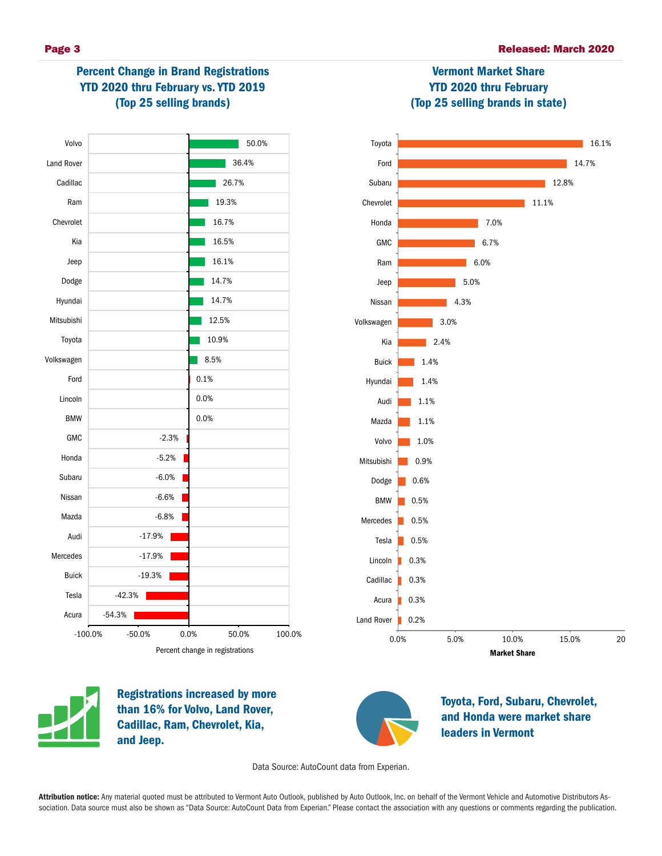# Percent Change in Brand Registrations YTD 2020 thru February vs. YTD 2019 (Top 25 selling brands)



# Vermont Market Share YTD 2020 thru February (Top 25 selling brands in state)





Registrations increased by more than 16% for Volvo, Land Rover, Cadillac, Ram, Chevrolet, Kia, and Jeep.



Toyota, Ford, Subaru, Chevrolet, and Honda were market share leaders in Vermont

Data Source: AutoCount data from Experian.

Attribution notice: Any material quoted must be attributed to Vermont Auto Outlook, published by Auto Outlook, Inc. on behalf of the Vermont Vehicle and Automotive Distributors Association. Data source must also be shown as "Data Source: AutoCount Data from Experian." Please contact the association with any questions or comments regarding the publication.